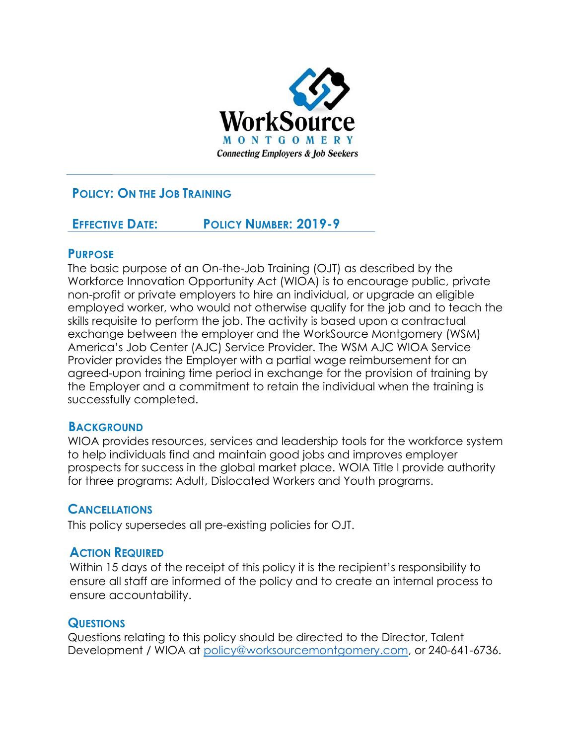

# **POLICY: ON THE JOB TRAINING**

# **EFFECTIVE DATE: POLICY NUMBER: 2019-9**

### **PURPOSE**

The basic purpose of an On-the-Job Training (OJT) as described by the Workforce Innovation Opportunity Act (WIOA) is to encourage public, private non-profit or private employers to hire an individual, or upgrade an eligible employed worker, who would not otherwise qualify for the job and to teach the skills requisite to perform the job. The activity is based upon a contractual exchange between the employer and the WorkSource Montgomery (WSM) America's Job Center (AJC) Service Provider. The WSM AJC WIOA Service Provider provides the Employer with a partial wage reimbursement for an agreed-upon training time period in exchange for the provision of training by the Employer and a commitment to retain the individual when the training is successfully completed.

# **BACKGROUND**

WIOA provides resources, services and leadership tools for the workforce system to help individuals find and maintain good jobs and improves employer prospects for success in the global market place. WOIA Title l provide authority for three programs: Adult, Dislocated Workers and Youth programs.

# **CANCELLATIONS**

This policy supersedes all pre-existing policies for OJT.

# **ACTION REQUIRED**

Within 15 days of the receipt of this policy it is the recipient's responsibility to ensure all staff are informed of the policy and to create an internal process to ensure accountability.

#### **QUESTIONS**

Questions relating to this policy should be directed to the Director, Talent Development / WIOA at [policy@worksourcemontgomery.com,](mailto:policy@worksourcemontgomery.com) or 240-641-6736.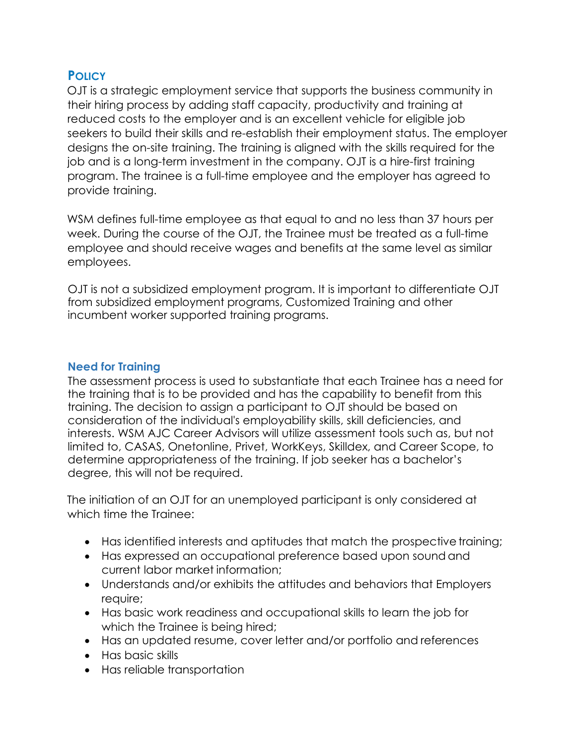# **POLICY**

OJT is a strategic employment service that supports the business community in their hiring process by adding staff capacity, productivity and training at reduced costs to the employer and is an excellent vehicle for eligible job seekers to build their skills and re-establish their employment status. The employer designs the on-site training. The training is aligned with the skills required for the job and is a long-term investment in the company. OJT is a hire-first training program. The trainee is a full-time employee and the employer has agreed to provide training.

WSM defines full-time employee as that equal to and no less than 37 hours per week. During the course of the OJT, the Trainee must be treated as a full-time employee and should receive wages and benefits at the same level as similar employees.

OJT is not a subsidized employment program. It is important to differentiate OJT from subsidized employment programs, Customized Training and other incumbent worker supported training programs.

### **Need for Training**

The assessment process is used to substantiate that each Trainee has a need for the training that is to be provided and has the capability to benefit from this training. The decision to assign a participant to OJT should be based on consideration of the individual's employability skills, skill deficiencies, and interests. WSM AJC Career Advisors will utilize assessment tools such as, but not limited to, CASAS, Onetonline, Privet, WorkKeys, Skilldex, and Career Scope, to determine appropriateness of the training. If job seeker has a bachelor's degree, this will not be required.

The initiation of an OJT for an unemployed participant is only considered at which time the Trainee:

- Has identified interests and aptitudes that match the prospective training;
- Has expressed an occupational preference based upon sound and current labor market information;
- Understands and/or exhibits the attitudes and behaviors that Employers require;
- Has basic work readiness and occupational skills to learn the job for which the Trainee is being hired;
- Has an updated resume, cover letter and/or portfolio and references
- Has basic skills
- Has reliable transportation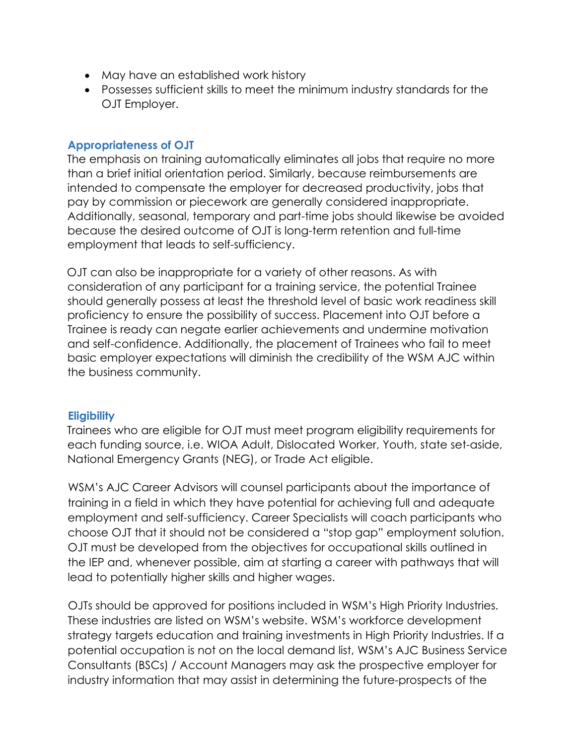- May have an established work history
- Possesses sufficient skills to meet the minimum industry standards for the OJT Employer.

#### **Appropriateness of OJT**

The emphasis on training automatically eliminates all jobs that require no more than a brief initial orientation period. Similarly, because reimbursements are intended to compensate the employer for decreased productivity, jobs that pay by commission or piecework are generally considered inappropriate. Additionally, seasonal, temporary and part-time jobs should likewise be avoided because the desired outcome of OJT is long-term retention and full-time employment that leads to self-sufficiency.

OJT can also be inappropriate for a variety of other reasons. As with consideration of any participant for a training service, the potential Trainee should generally possess at least the threshold level of basic work readiness skill proficiency to ensure the possibility of success. Placement into OJT before a Trainee is ready can negate earlier achievements and undermine motivation and self-confidence. Additionally, the placement of Trainees who fail to meet basic employer expectations will diminish the credibility of the WSM AJC within the business community.

# **Eligibility**

Trainees who are eligible for OJT must meet program eligibility requirements for each funding source, i.e. WIOA Adult, Dislocated Worker, Youth, state set-aside, National Emergency Grants (NEG), or Trade Act eligible.

WSM's AJC Career Advisors will counsel participants about the importance of training in a field in which they have potential for achieving full and adequate employment and self-sufficiency. Career Specialists will coach participants who choose OJT that it should not be considered a "stop gap" employment solution. OJT must be developed from the objectives for occupational skills outlined in the IEP and, whenever possible, aim at starting a career with pathways that will lead to potentially higher skills and higher wages.

OJTs should be approved for positions included in WSM's High Priority Industries. These industries are listed on WSM's website. WSM's workforce development strategy targets education and training investments in High Priority Industries. If a potential occupation is not on the local demand list, WSM's AJC Business Service Consultants (BSCs) / Account Managers may ask the prospective employer for industry information that may assist in determining the future-prospects of the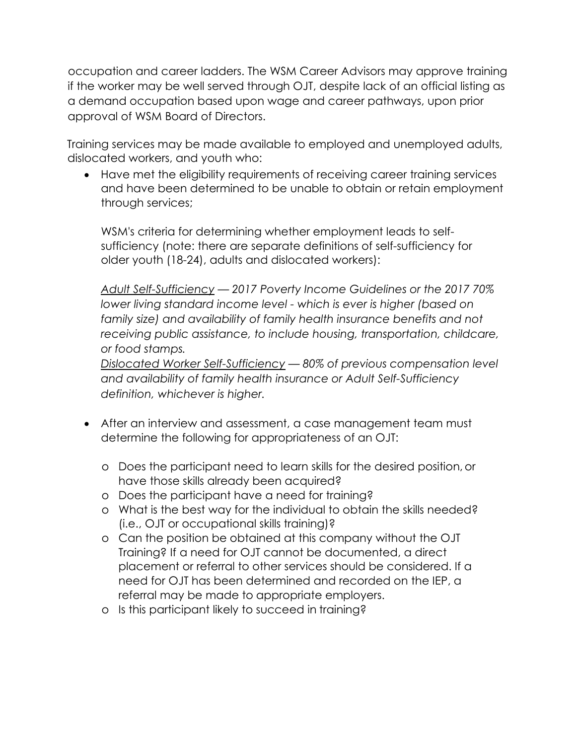occupation and career ladders. The WSM Career Advisors may approve training if the worker may be well served through OJT, despite lack of an official listing as a demand occupation based upon wage and career pathways, upon prior approval of WSM Board of Directors.

Training services may be made available to employed and unemployed adults, dislocated workers, and youth who:

• Have met the eligibility requirements of receiving career training services and have been determined to be unable to obtain or retain employment through services;

WSM's criteria for determining whether employment leads to selfsufficiency (note: there are separate definitions of self-sufficiency for older youth (18-24), adults and dislocated workers):

*Adult Self-Sufficiency — 2017 Poverty Income Guidelines or the 2017 70% lower living standard income level - which is ever is higher (based on*  family size) and availability of family health insurance benefits and not *receiving public assistance, to include housing, transportation, childcare, or food stamps.*

*Dislocated Worker Self-Sufficiency — 80% of previous compensation level and availability of family health insurance or Adult Self-Sufficiency definition, whichever is higher.*

- After an interview and assessment, a case management team must determine the following for appropriateness of an OJT:
	- o Does the participant need to learn skills for the desired position,or have those skills already been acquired?
	- o Does the participant have a need for training?
	- o What is the best way for the individual to obtain the skills needed? (i.e., OJT or occupational skills training)?
	- o Can the position be obtained at this company without the OJT Training? If a need for OJT cannot be documented, a direct placement or referral to other services should be considered. If a need for OJT has been determined and recorded on the IEP, a referral may be made to appropriate employers.
	- o Is this participant likely to succeed in training?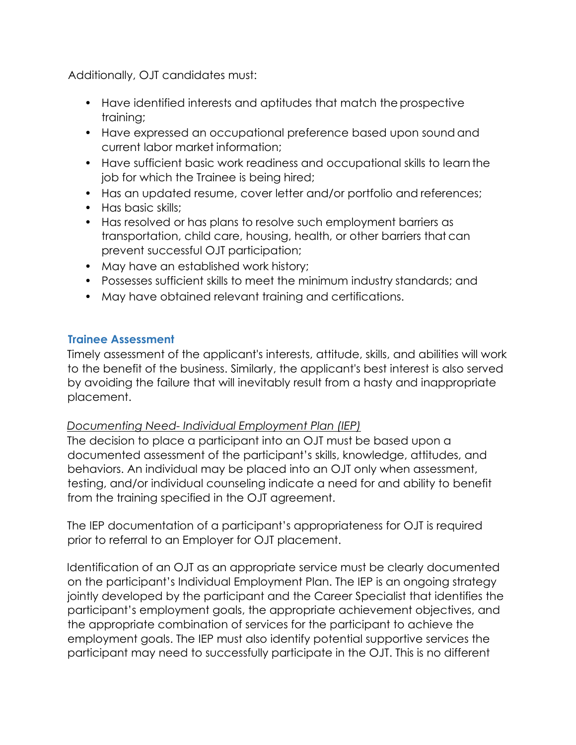Additionally, OJT candidates must:

- Have identified interests and aptitudes that match the prospective training;
- Have expressed an occupational preference based upon sound and current labor market information;
- Have sufficient basic work readiness and occupational skills to learn the job for which the Trainee is being hired;
- Has an updated resume, cover letter and/or portfolio and references;
- Has basic skills:
- Has resolved or has plans to resolve such employment barriers as transportation, child care, housing, health, or other barriers that can prevent successful OJT participation;
- May have an established work history;
- Possesses sufficient skills to meet the minimum industry standards; and
- May have obtained relevant training and certifications.

### **Trainee Assessment**

Timely assessment of the applicant's interests, attitude, skills, and abilities will work to the benefit of the business. Similarly, the applicant's best interest is also served by avoiding the failure that will inevitably result from a hasty and inappropriate placement.

# *Documenting Need- Individual Employment Plan (IEP)*

The decision to place a participant into an OJT must be based upon a documented assessment of the participant's skills, knowledge, attitudes, and behaviors. An individual may be placed into an OJT only when assessment, testing, and/or individual counseling indicate a need for and ability to benefit from the training specified in the OJT agreement.

The IEP documentation of a participant's appropriateness for OJT is required prior to referral to an Employer for OJT placement.

Identification of an OJT as an appropriate service must be clearly documented on the participant's Individual Employment Plan. The IEP is an ongoing strategy jointly developed by the participant and the Career Specialist that identifies the participant's employment goals, the appropriate achievement objectives, and the appropriate combination of services for the participant to achieve the employment goals. The IEP must also identify potential supportive services the participant may need to successfully participate in the OJT. This is no different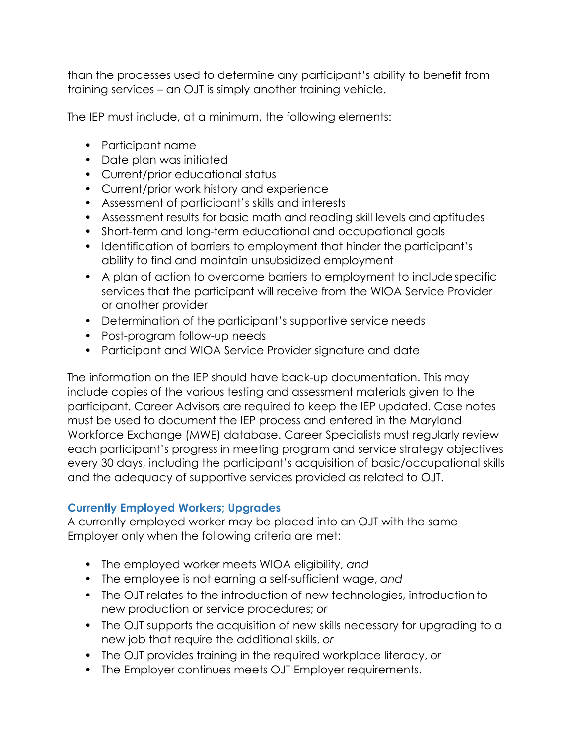than the processes used to determine any participant's ability to benefit from training services – an OJT is simply another training vehicle.

The IEP must include, at a minimum, the following elements:

- Participant name
- Date plan was initiated
- Current/prior educational status
- Current/prior work history and experience
- Assessment of participant's skills and interests
- Assessment results for basic math and reading skill levels and aptitudes
- Short-term and long-term educational and occupational goals
- Identification of barriers to employment that hinder the participant's ability to find and maintain unsubsidized employment
- A plan of action to overcome barriers to employment to include specific services that the participant will receive from the WIOA Service Provider or another provider
- Determination of the participant's supportive service needs
- Post-program follow-up needs
- Participant and WIOA Service Provider signature and date

The information on the IEP should have back-up documentation. This may include copies of the various testing and assessment materials given to the participant. Career Advisors are required to keep the IEP updated. Case notes must be used to document the IEP process and entered in the Maryland Workforce Exchange (MWE) database. Career Specialists must regularly review each participant's progress in meeting program and service strategy objectives every 30 days, including the participant's acquisition of basic/occupational skills and the adequacy of supportive services provided as related to OJT.

#### **Currently Employed Workers; Upgrades**

A currently employed worker may be placed into an OJT with the same Employer only when the following criteria are met:

- The employed worker meets WIOA eligibility, *and*
- The employee is not earning a self-sufficient wage, *and*
- The OJT relates to the introduction of new technologies, introductionto new production or service procedures; *or*
- The OJT supports the acquisition of new skills necessary for upgrading to a new job that require the additional skills, *or*
- The OJT provides training in the required workplace literacy, *or*
- The Employer continues meets OJT Employer requirements.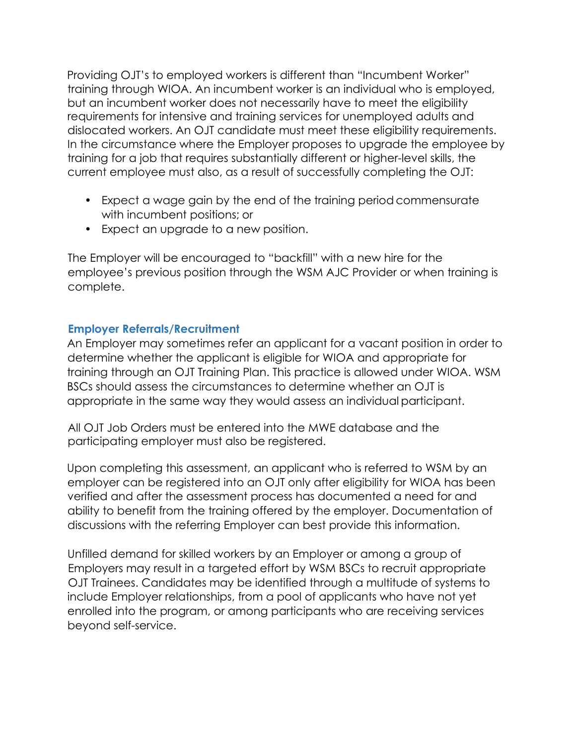Providing OJT's to employed workers is different than "Incumbent Worker" training through WIOA. An incumbent worker is an individual who is employed, but an incumbent worker does not necessarily have to meet the eligibility requirements for intensive and training services for unemployed adults and dislocated workers. An OJT candidate must meet these eligibility requirements. In the circumstance where the Employer proposes to upgrade the employee by training for a job that requires substantially different or higher-level skills, the current employee must also, as a result of successfully completing the OJT:

- Expect a wage gain by the end of the training period commensurate with incumbent positions; or
- Expect an upgrade to a new position.

The Employer will be encouraged to "backfill" with a new hire for the employee's previous position through the WSM AJC Provider or when training is complete.

#### **Employer Referrals/Recruitment**

An Employer may sometimes refer an applicant for a vacant position in order to determine whether the applicant is eligible for WIOA and appropriate for training through an OJT Training Plan. This practice is allowed under WIOA. WSM BSCs should assess the circumstances to determine whether an OJT is appropriate in the same way they would assess an individual participant.

All OJT Job Orders must be entered into the MWE database and the participating employer must also be registered.

Upon completing this assessment, an applicant who is referred to WSM by an employer can be registered into an OJT only after eligibility for WIOA has been verified and after the assessment process has documented a need for and ability to benefit from the training offered by the employer. Documentation of discussions with the referring Employer can best provide this information.

Unfilled demand for skilled workers by an Employer or among a group of Employers may result in a targeted effort by WSM BSCs to recruit appropriate OJT Trainees. Candidates may be identified through a multitude of systems to include Employer relationships, from a pool of applicants who have not yet enrolled into the program, or among participants who are receiving services beyond self-service.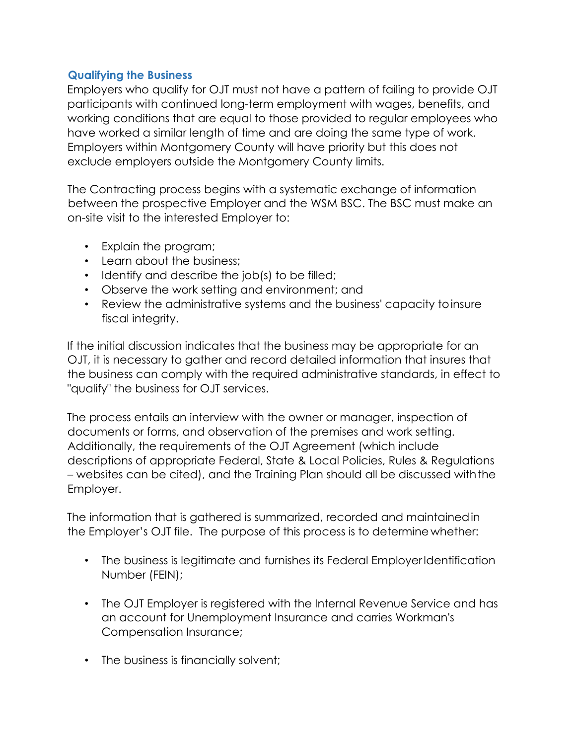### **Qualifying the Business**

Employers who qualify for OJT must not have a pattern of failing to provide OJT participants with continued long-term employment with wages, benefits, and working conditions that are equal to those provided to regular employees who have worked a similar length of time and are doing the same type of work. Employers within Montgomery County will have priority but this does not exclude employers outside the Montgomery County limits.

The Contracting process begins with a systematic exchange of information between the prospective Employer and the WSM BSC. The BSC must make an on-site visit to the interested Employer to:

- Explain the program;
- Learn about the business:
- Identify and describe the job(s) to be filled;
- Observe the work setting and environment; and
- Review the administrative systems and the business' capacity to insure fiscal integrity.

If the initial discussion indicates that the business may be appropriate for an OJT, it is necessary to gather and record detailed information that insures that the business can comply with the required administrative standards, in effect to "qualify" the business for OJT services.

The process entails an interview with the owner or manager, inspection of documents or forms, and observation of the premises and work setting. Additionally, the requirements of the OJT Agreement (which include descriptions of appropriate Federal, State & Local Policies, Rules & Regulations – websites can be cited), and the Training Plan should all be discussed withthe Employer.

The information that is gathered is summarized, recorded and maintained in the Employer's OJT file. The purpose of this process is to determine whether:

- The business is legitimate and furnishes its Federal Employer Identification Number (FEIN);
- The OJT Employer is registered with the Internal Revenue Service and has an account for Unemployment Insurance and carries Workman's Compensation Insurance;
- The business is financially solvent;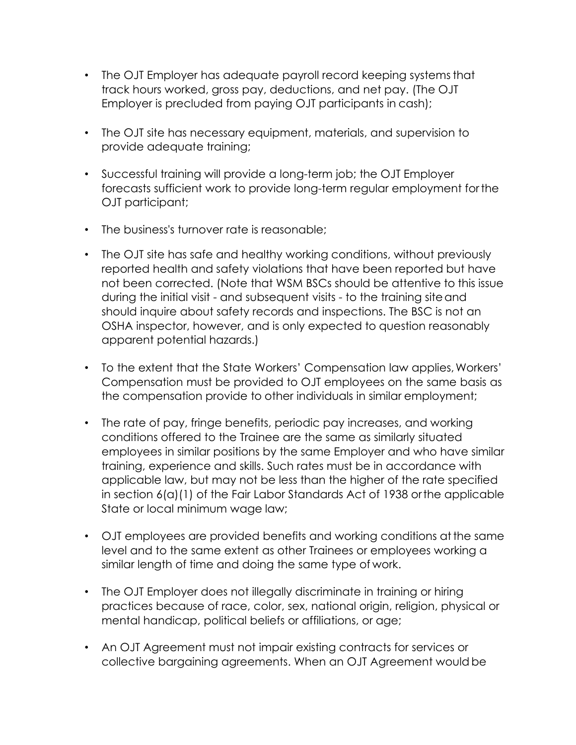- The OJT Employer has adequate payroll record keeping systems that track hours worked, gross pay, deductions, and net pay. (The OJT Employer is precluded from paying OJT participants in cash);
- The OJT site has necessary equipment, materials, and supervision to provide adequate training;
- Successful training will provide a long-term job; the OJT Employer forecasts sufficient work to provide long-term regular employment for the OJT participant;
- The business's turnover rate is reasonable;
- The OJT site has safe and healthy working conditions, without previously reported health and safety violations that have been reported but have not been corrected. (Note that WSM BSCs should be attentive to this issue during the initial visit - and subsequent visits - to the training site and should inquire about safety records and inspections. The BSC is not an OSHA inspector, however, and is only expected to question reasonably apparent potential hazards.)
- To the extent that the State Workers' Compensation law applies, Workers' Compensation must be provided to OJT employees on the same basis as the compensation provide to other individuals in similar employment;
- The rate of pay, fringe benefits, periodic pay increases, and working conditions offered to the Trainee are the same as similarly situated employees in similar positions by the same Employer and who have similar training, experience and skills. Such rates must be in accordance with applicable law, but may not be less than the higher of the rate specified in section 6(a)(1) of the Fair Labor Standards Act of 1938 or the applicable State or local minimum wage law;
- OJT employees are provided benefits and working conditions at the same level and to the same extent as other Trainees or employees working a similar length of time and doing the same type of work.
- The OJT Employer does not illegally discriminate in training or hiring practices because of race, color, sex, national origin, religion, physical or mental handicap, political beliefs or affiliations, or age;
- An OJT Agreement must not impair existing contracts for services or collective bargaining agreements. When an OJT Agreement would be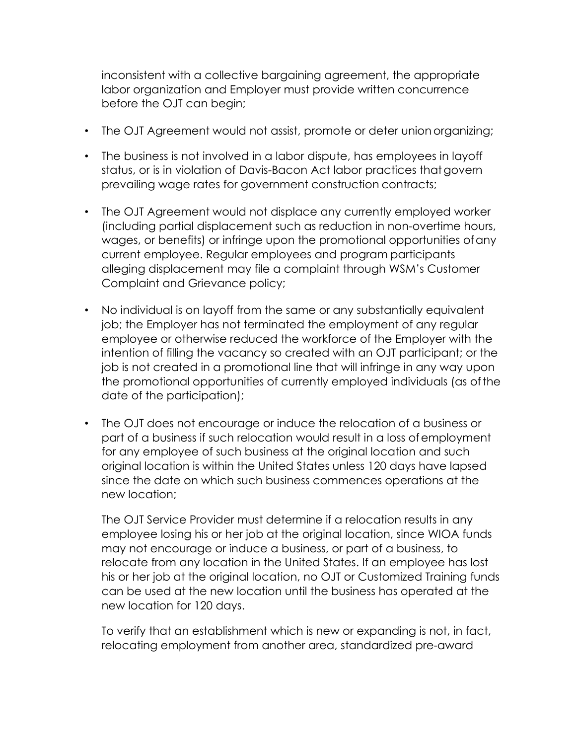inconsistent with a collective bargaining agreement, the appropriate labor organization and Employer must provide written concurrence before the OJT can begin;

- The OJT Agreement would not assist, promote or deter union organizing;
- The business is not involved in a labor dispute, has employees in layoff status, or is in violation of Davis-Bacon Act labor practices thatgovern prevailing wage rates for government construction contracts;
- The OJT Agreement would not displace any currently employed worker (including partial displacement such as reduction in non-overtime hours, wages, or benefits) or infringe upon the promotional opportunities ofany current employee. Regular employees and program participants alleging displacement may file a complaint through WSM's Customer Complaint and Grievance policy;
- No individual is on layoff from the same or any substantially equivalent job; the Employer has not terminated the employment of any regular employee or otherwise reduced the workforce of the Employer with the intention of filling the vacancy so created with an OJT participant; or the job is not created in a promotional line that will infringe in any way upon the promotional opportunities of currently employed individuals (as ofthe date of the participation);
- The OJT does not encourage or induce the relocation of a business or part of a business if such relocation would result in a loss ofemployment for any employee of such business at the original location and such original location is within the United States unless 120 days have lapsed since the date on which such business commences operations at the new location;

The OJT Service Provider must determine if a relocation results in any employee losing his or her job at the original location, since WIOA funds may not encourage or induce a business, or part of a business, to relocate from any location in the United States. If an employee has lost his or her job at the original location, no OJT or Customized Training funds can be used at the new location until the business has operated at the new location for 120 days.

To verify that an establishment which is new or expanding is not, in fact, relocating employment from another area, standardized pre-award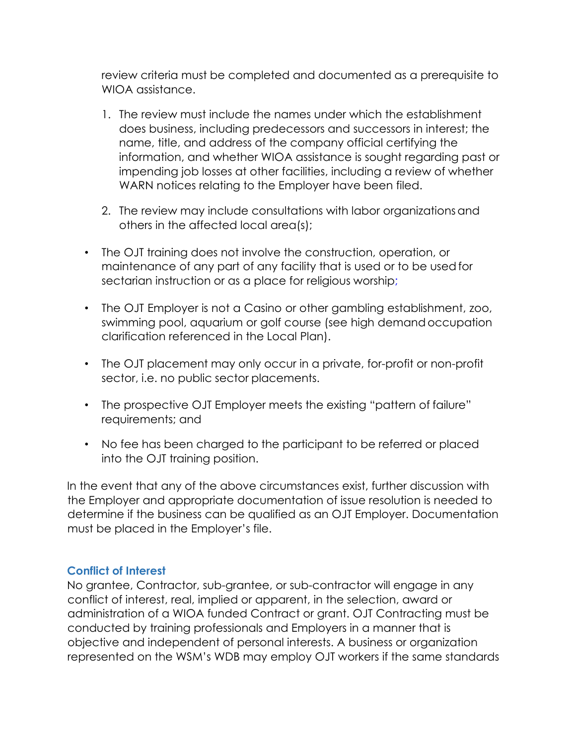review criteria must be completed and documented as a prerequisite to WIOA assistance.

- 1. The review must include the names under which the establishment does business, including predecessors and successors in interest; the name, title, and address of the company official certifying the information, and whether WIOA assistance is sought regarding past or impending job losses at other facilities, including a review of whether WARN notices relating to the Employer have been filed.
- 2. The review may include consultations with labor organizations and others in the affected local area(s);
- The OJT training does not involve the construction, operation, or maintenance of any part of any facility that is used or to be usedfor sectarian instruction or as a place for religious worship;
- The OJT Employer is not a Casino or other gambling establishment, zoo, swimming pool, aquarium or golf course (see high demand occupation clarification referenced in the Local Plan).
- The OJT placement may only occur in a private, for-profit or non-profit sector, i.e. no public sector placements.
- The prospective OJT Employer meets the existing "pattern of failure" requirements; and
- No fee has been charged to the participant to be referred or placed into the OJT training position.

In the event that any of the above circumstances exist, further discussion with the Employer and appropriate documentation of issue resolution is needed to determine if the business can be qualified as an OJT Employer. Documentation must be placed in the Employer's file.

#### **Conflict of Interest**

No grantee, Contractor, sub-grantee, or sub-contractor will engage in any conflict of interest, real, implied or apparent, in the selection, award or administration of a WIOA funded Contract or grant. OJT Contracting must be conducted by training professionals and Employers in a manner that is objective and independent of personal interests. A business or organization represented on the WSM's WDB may employ OJT workers if the same standards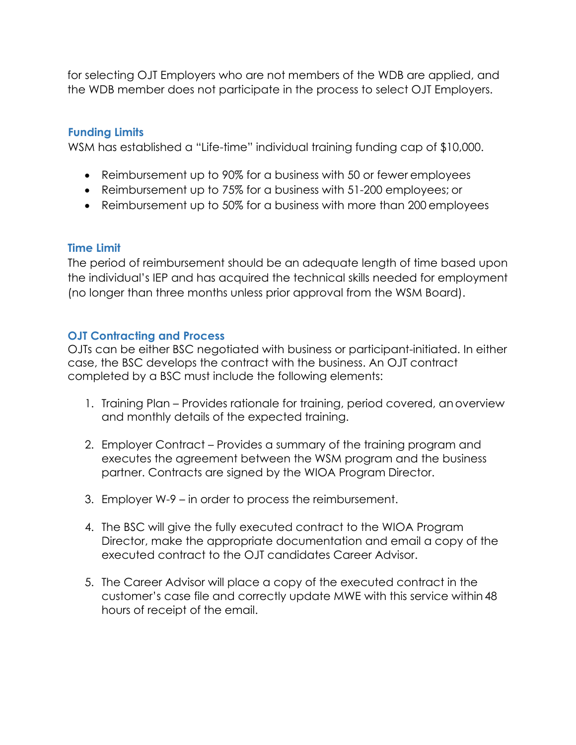for selecting OJT Employers who are not members of the WDB are applied, and the WDB member does not participate in the process to select OJT Employers.

### **Funding Limits**

WSM has established a "Life-time" individual training funding cap of \$10,000.

- Reimbursement up to 90% for a business with 50 or fewer employees
- Reimbursement up to 75% for a business with 51-200 employees; or
- Reimbursement up to 50% for a business with more than 200 employees

#### **Time Limit**

The period of reimbursement should be an adequate length of time based upon the individual's IEP and has acquired the technical skills needed for employment (no longer than three months unless prior approval from the WSM Board).

#### **OJT Contracting and Process**

OJTs can be either BSC negotiated with business or participant-initiated. In either case, the BSC develops the contract with the business. An OJT contract completed by a BSC must include the following elements:

- 1. Training Plan Provides rationale for training, period covered, an overview and monthly details of the expected training.
- 2. Employer Contract Provides a summary of the training program and executes the agreement between the WSM program and the business partner. Contracts are signed by the WIOA Program Director.
- 3. Employer W-9 in order to process the reimbursement.
- 4. The BSC will give the fully executed contract to the WIOA Program Director, make the appropriate documentation and email a copy of the executed contract to the OJT candidates Career Advisor.
- 5. The Career Advisor will place a copy of the executed contract in the customer's case file and correctly update MWE with this service within 48 hours of receipt of the email.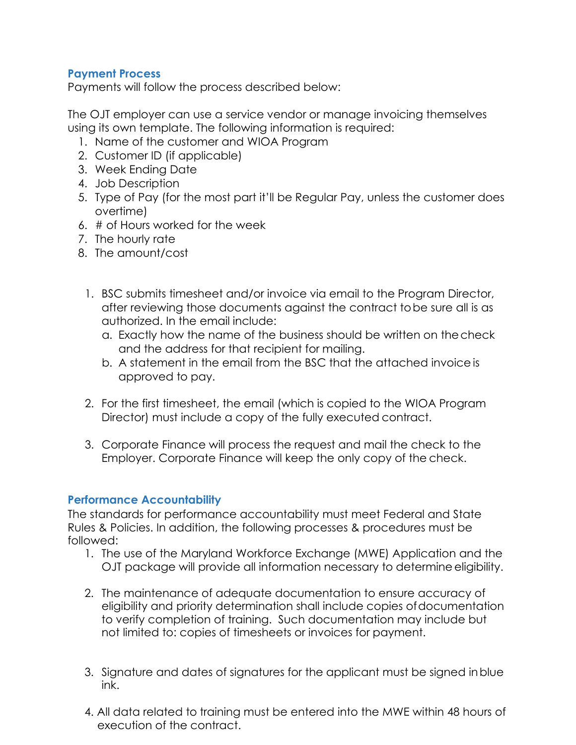### **Payment Process**

Payments will follow the process described below:

The OJT employer can use a service vendor or manage invoicing themselves using its own template. The following information is required:

- 1. Name of the customer and WIOA Program
- 2. Customer ID (if applicable)
- 3. Week Ending Date
- 4. Job Description
- 5. Type of Pay (for the most part it'll be Regular Pay, unless the customer does overtime)
- 6. # of Hours worked for the week
- 7. The hourly rate
- 8. The amount/cost
	- 1. BSC submits timesheet and/or invoice via email to the Program Director, after reviewing those documents against the contract to be sure all is as authorized. In the email include:
		- a. Exactly how the name of the business should be written on the check and the address for that recipient for mailing.
		- b. A statement in the email from the BSC that the attached invoice is approved to pay.
	- 2. For the first timesheet, the email (which is copied to the WIOA Program Director) must include a copy of the fully executed contract.
	- 3. Corporate Finance will process the request and mail the check to the Employer. Corporate Finance will keep the only copy of the check.

# **Performance Accountability**

The standards for performance accountability must meet Federal and State Rules & Policies. In addition, the following processes & procedures must be followed:

- 1. The use of the Maryland Workforce Exchange (MWE) Application and the OJT package will provide all information necessary to determine eligibility.
- 2. The maintenance of adequate documentation to ensure accuracy of eligibility and priority determination shall include copies of documentation to verify completion of training. Such documentation may include but not limited to: copies of timesheets or invoices for payment.
- 3. Signature and dates of signatures for the applicant must be signed in blue ink.
- 4. All data related to training must be entered into the MWE within 48 hours of execution of the contract.